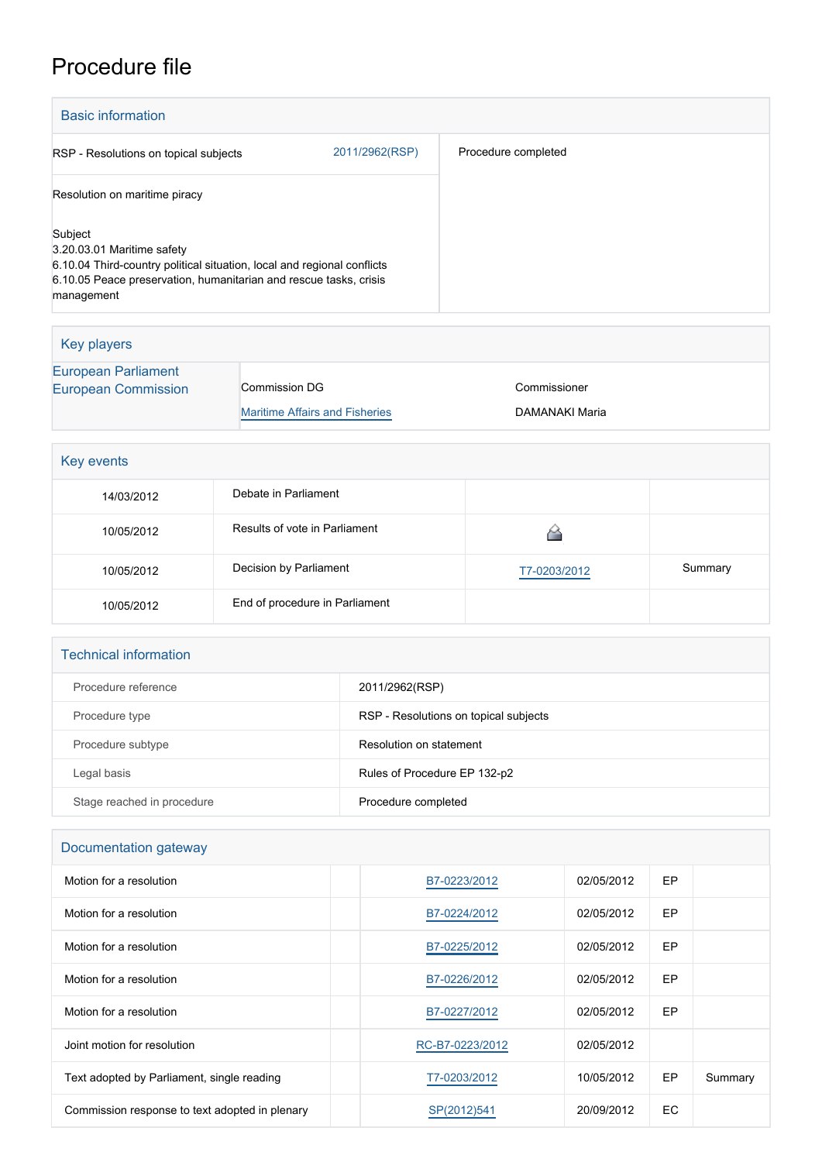## Procedure file

| <b>Basic information</b>                                                                                                                                                                            |                |                     |  |
|-----------------------------------------------------------------------------------------------------------------------------------------------------------------------------------------------------|----------------|---------------------|--|
| RSP - Resolutions on topical subjects                                                                                                                                                               | 2011/2962(RSP) | Procedure completed |  |
| Resolution on maritime piracy                                                                                                                                                                       |                |                     |  |
| Subject<br>3.20.03.01 Maritime safety<br>6.10.04 Third-country political situation, local and regional conflicts<br>6.10.05 Peace preservation, humanitarian and rescue tasks, crisis<br>management |                |                     |  |

| Key players                                |                                       |                |  |
|--------------------------------------------|---------------------------------------|----------------|--|
| European Parliament<br>European Commission | Commission DG                         | Commissioner   |  |
|                                            | <b>Maritime Affairs and Fisheries</b> | DAMANAKI Maria |  |

| Key events |                                |              |         |  |
|------------|--------------------------------|--------------|---------|--|
| 14/03/2012 | Debate in Parliament           |              |         |  |
| 10/05/2012 | Results of vote in Parliament  |              |         |  |
| 10/05/2012 | Decision by Parliament         | T7-0203/2012 | Summary |  |
| 10/05/2012 | End of procedure in Parliament |              |         |  |

| <b>Technical information</b> |                                       |  |  |
|------------------------------|---------------------------------------|--|--|
| Procedure reference          | 2011/2962(RSP)                        |  |  |
| Procedure type               | RSP - Resolutions on topical subjects |  |  |
| Procedure subtype            | Resolution on statement               |  |  |
| Legal basis                  | Rules of Procedure EP 132-p2          |  |  |
| Stage reached in procedure   | Procedure completed                   |  |  |

| Documentation gateway                          |                 |            |           |         |
|------------------------------------------------|-----------------|------------|-----------|---------|
| Motion for a resolution                        | B7-0223/2012    | 02/05/2012 | <b>EP</b> |         |
| Motion for a resolution                        | B7-0224/2012    | 02/05/2012 | EP        |         |
| Motion for a resolution                        | B7-0225/2012    | 02/05/2012 | <b>EP</b> |         |
| Motion for a resolution                        | B7-0226/2012    | 02/05/2012 | <b>EP</b> |         |
| Motion for a resolution                        | B7-0227/2012    | 02/05/2012 | EP        |         |
| Joint motion for resolution                    | RC-B7-0223/2012 | 02/05/2012 |           |         |
| Text adopted by Parliament, single reading     | T7-0203/2012    | 10/05/2012 | EP        | Summary |
| Commission response to text adopted in plenary | SP(2012)541     | 20/09/2012 | EC        |         |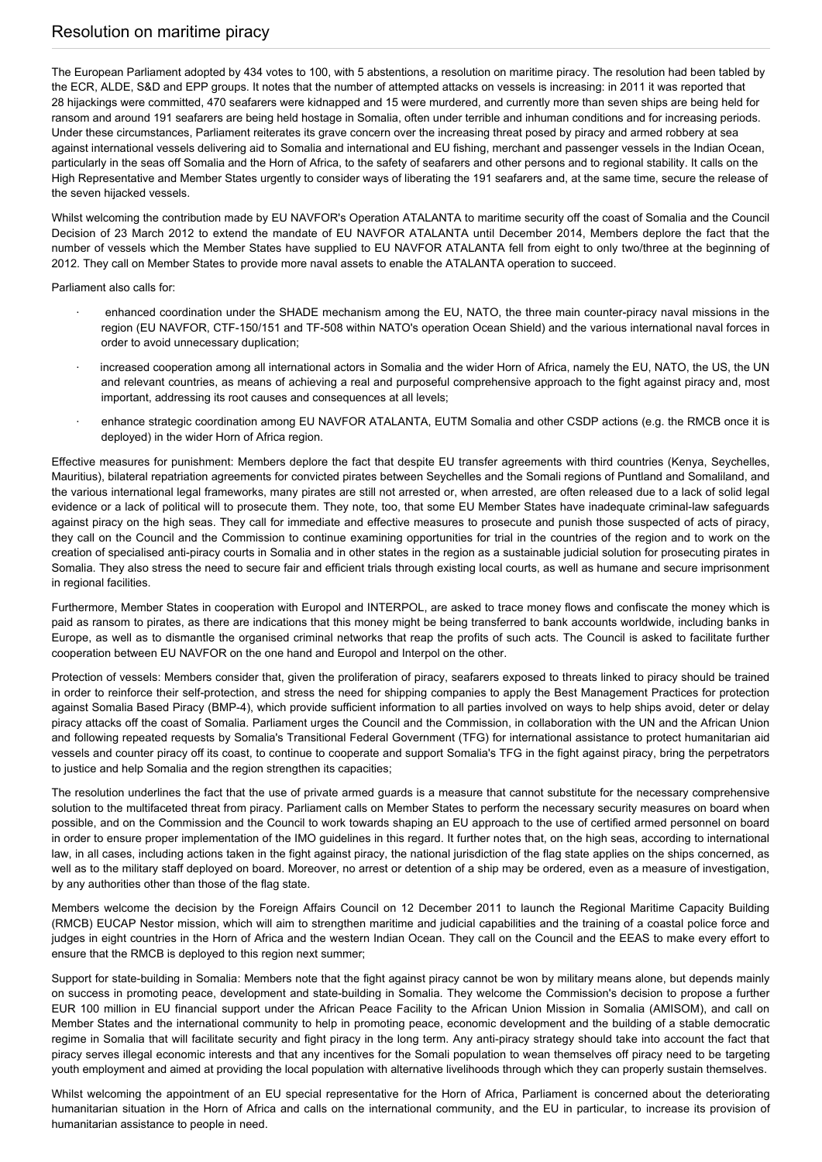## Resolution on maritime piracy

The European Parliament adopted by 434 votes to 100, with 5 abstentions, a resolution on maritime piracy. The resolution had been tabled by the ECR, ALDE, S&D and EPP groups. It notes that the number of attempted attacks on vessels is increasing: in 2011 it was reported that 28 hijackings were committed, 470 seafarers were kidnapped and 15 were murdered, and currently more than seven ships are being held for ransom and around 191 seafarers are being held hostage in Somalia, often under terrible and inhuman conditions and for increasing periods. Under these circumstances, Parliament reiterates its grave concern over the increasing threat posed by piracy and armed robbery at sea against international vessels delivering aid to Somalia and international and EU fishing, merchant and passenger vessels in the Indian Ocean, particularly in the seas off Somalia and the Horn of Africa, to the safety of seafarers and other persons and to regional stability. It calls on the High Representative and Member States urgently to consider ways of liberating the 191 seafarers and, at the same time, secure the release of the seven hijacked vessels.

Whilst welcoming the contribution made by EU NAVFOR's Operation ATALANTA to maritime security off the coast of Somalia and the Council Decision of 23 March 2012 to extend the mandate of EU NAVFOR ATALANTA until December 2014, Members deplore the fact that the number of vessels which the Member States have supplied to EU NAVFOR ATALANTA fell from eight to only two/three at the beginning of 2012. They call on Member States to provide more naval assets to enable the ATALANTA operation to succeed.

Parliament also calls for:

- · enhanced coordination under the SHADE mechanism among the EU, NATO, the three main counter-piracy naval missions in the region (EU NAVFOR, CTF-150/151 and TF-508 within NATO's operation Ocean Shield) and the various international naval forces in order to avoid unnecessary duplication;
- increased cooperation among all international actors in Somalia and the wider Horn of Africa, namely the EU, NATO, the US, the UN and relevant countries, as means of achieving a real and purposeful comprehensive approach to the fight against piracy and, most important, addressing its root causes and consequences at all levels;
- enhance strategic coordination among EU NAVFOR ATALANTA, EUTM Somalia and other CSDP actions (e.g. the RMCB once it is deployed) in the wider Horn of Africa region.

Effective measures for punishment: Members deplore the fact that despite EU transfer agreements with third countries (Kenya, Seychelles, Mauritius), bilateral repatriation agreements for convicted pirates between Seychelles and the Somali regions of Puntland and Somaliland, and the various international legal frameworks, many pirates are still not arrested or, when arrested, are often released due to a lack of solid legal evidence or a lack of political will to prosecute them. They note, too, that some EU Member States have inadequate criminal-law safeguards against piracy on the high seas. They call for immediate and effective measures to prosecute and punish those suspected of acts of piracy, they call on the Council and the Commission to continue examining opportunities for trial in the countries of the region and to work on the creation of specialised anti-piracy courts in Somalia and in other states in the region as a sustainable judicial solution for prosecuting pirates in Somalia. They also stress the need to secure fair and efficient trials through existing local courts, as well as humane and secure imprisonment in regional facilities.

Furthermore, Member States in cooperation with Europol and INTERPOL, are asked to trace money flows and confiscate the money which is paid as ransom to pirates, as there are indications that this money might be being transferred to bank accounts worldwide, including banks in Europe, as well as to dismantle the organised criminal networks that reap the profits of such acts. The Council is asked to facilitate further cooperation between EU NAVFOR on the one hand and Europol and Interpol on the other.

Protection of vessels: Members consider that, given the proliferation of piracy, seafarers exposed to threats linked to piracy should be trained in order to reinforce their self-protection, and stress the need for shipping companies to apply the Best Management Practices for protection against Somalia Based Piracy (BMP-4), which provide sufficient information to all parties involved on ways to help ships avoid, deter or delay piracy attacks off the coast of Somalia. Parliament urges the Council and the Commission, in collaboration with the UN and the African Union and following repeated requests by Somalia's Transitional Federal Government (TFG) for international assistance to protect humanitarian aid vessels and counter piracy off its coast, to continue to cooperate and support Somalia's TFG in the fight against piracy, bring the perpetrators to justice and help Somalia and the region strengthen its capacities;

The resolution underlines the fact that the use of private armed guards is a measure that cannot substitute for the necessary comprehensive solution to the multifaceted threat from piracy. Parliament calls on Member States to perform the necessary security measures on board when possible, and on the Commission and the Council to work towards shaping an EU approach to the use of certified armed personnel on board in order to ensure proper implementation of the IMO guidelines in this regard. It further notes that, on the high seas, according to international law, in all cases, including actions taken in the fight against piracy, the national jurisdiction of the flag state applies on the ships concerned, as well as to the military staff deployed on board. Moreover, no arrest or detention of a ship may be ordered, even as a measure of investigation, by any authorities other than those of the flag state.

Members welcome the decision by the Foreign Affairs Council on 12 December 2011 to launch the Regional Maritime Capacity Building (RMCB) EUCAP Nestor mission, which will aim to strengthen maritime and judicial capabilities and the training of a coastal police force and judges in eight countries in the Horn of Africa and the western Indian Ocean. They call on the Council and the EEAS to make every effort to ensure that the RMCB is deployed to this region next summer;

Support for state-building in Somalia: Members note that the fight against piracy cannot be won by military means alone, but depends mainly on success in promoting peace, development and state-building in Somalia. They welcome the Commission's decision to propose a further EUR 100 million in EU financial support under the African Peace Facility to the African Union Mission in Somalia (AMISOM), and call on Member States and the international community to help in promoting peace, economic development and the building of a stable democratic regime in Somalia that will facilitate security and fight piracy in the long term. Any anti-piracy strategy should take into account the fact that piracy serves illegal economic interests and that any incentives for the Somali population to wean themselves off piracy need to be targeting youth employment and aimed at providing the local population with alternative livelihoods through which they can properly sustain themselves.

Whilst welcoming the appointment of an EU special representative for the Horn of Africa, Parliament is concerned about the deteriorating humanitarian situation in the Horn of Africa and calls on the international community, and the EU in particular, to increase its provision of humanitarian assistance to people in need.